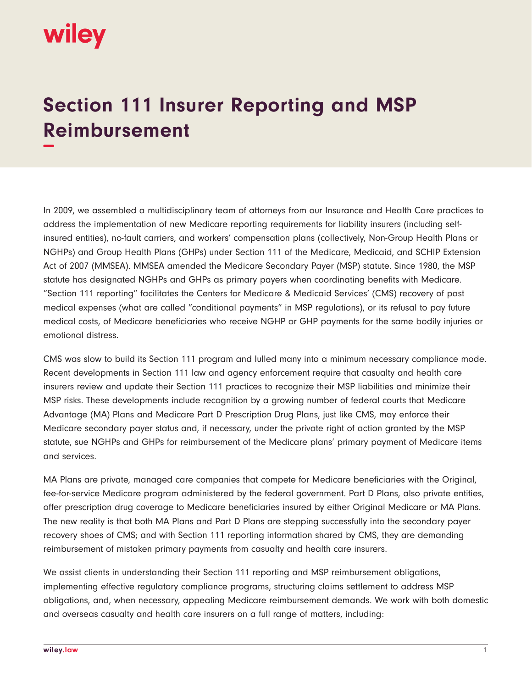## wiley

## **Section 111 Insurer Reporting and MSP Reimbursement −**

In 2009, we assembled a multidisciplinary team of attorneys from our Insurance and Health Care practices to address the implementation of new Medicare reporting requirements for liability insurers (including selfinsured entities), no-fault carriers, and workers' compensation plans (collectively, Non-Group Health Plans or NGHPs) and Group Health Plans (GHPs) under Section 111 of the Medicare, Medicaid, and SCHIP Extension Act of 2007 (MMSEA). MMSEA amended the Medicare Secondary Payer (MSP) statute. Since 1980, the MSP statute has designated NGHPs and GHPs as primary payers when coordinating benefits with Medicare. "Section 111 reporting" facilitates the Centers for Medicare & Medicaid Services' (CMS) recovery of past medical expenses (what are called "conditional payments" in MSP regulations), or its refusal to pay future medical costs, of Medicare beneficiaries who receive NGHP or GHP payments for the same bodily injuries or emotional distress.

CMS was slow to build its Section 111 program and lulled many into a minimum necessary compliance mode. Recent developments in Section 111 law and agency enforcement require that casualty and health care insurers review and update their Section 111 practices to recognize their MSP liabilities and minimize their MSP risks. These developments include recognition by a growing number of federal courts that Medicare Advantage (MA) Plans and Medicare Part D Prescription Drug Plans, just like CMS, may enforce their Medicare secondary payer status and, if necessary, under the private right of action granted by the MSP statute, sue NGHPs and GHPs for reimbursement of the Medicare plans' primary payment of Medicare items and services.

MA Plans are private, managed care companies that compete for Medicare beneficiaries with the Original, fee-for-service Medicare program administered by the federal government. Part D Plans, also private entities, offer prescription drug coverage to Medicare beneficiaries insured by either Original Medicare or MA Plans. The new reality is that both MA Plans and Part D Plans are stepping successfully into the secondary payer recovery shoes of CMS; and with Section 111 reporting information shared by CMS, they are demanding reimbursement of mistaken primary payments from casualty and health care insurers.

We assist clients in understanding their Section 111 reporting and MSP reimbursement obligations, implementing effective regulatory compliance programs, structuring claims settlement to address MSP obligations, and, when necessary, appealing Medicare reimbursement demands. We work with both domestic and overseas casualty and health care insurers on a full range of matters, including: